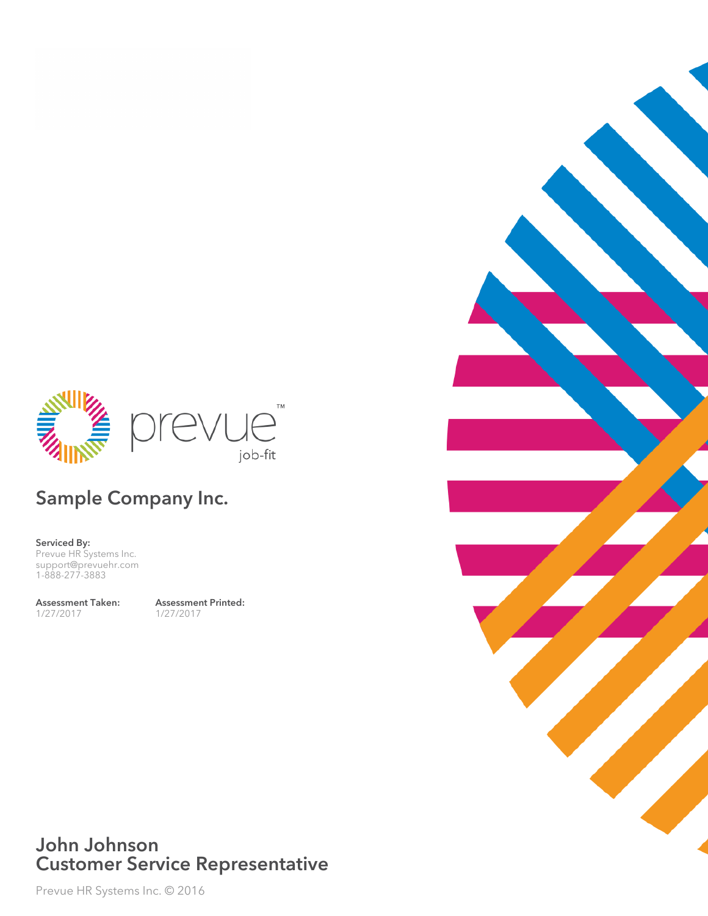

## Sample Company Inc.

Serviced By: Prevue HR Systems Inc. support@prevuehr.com 1-888-277-3883

Assessment Taken: 1/27/2017

Assessment Printed: 1/27/2017

### John Johnson Customer Service Representative

Prevue HR Systems Inc. © 2016

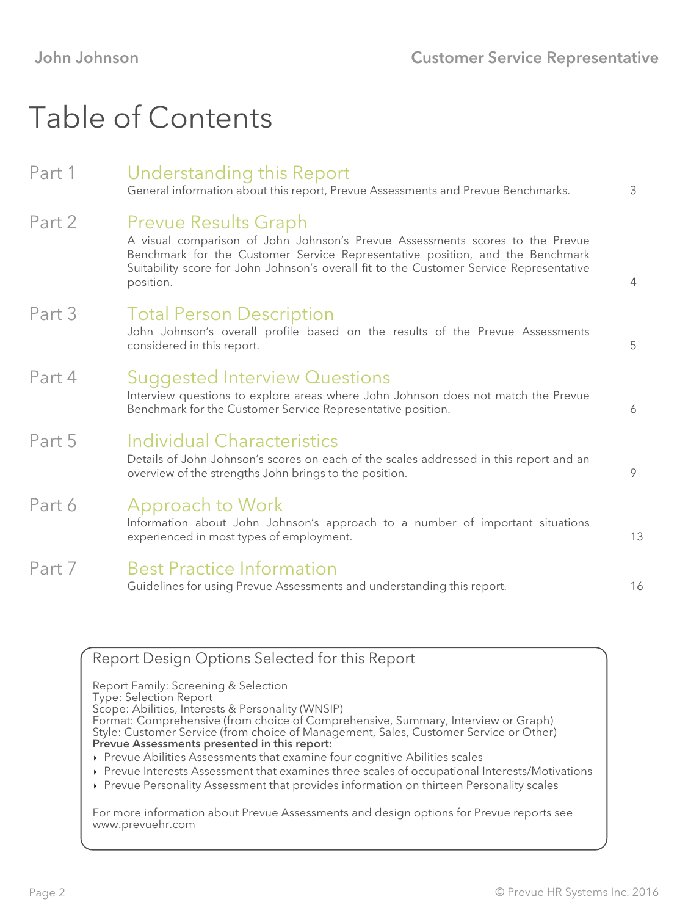# Table of Contents

### Part 1 Understanding this Report General information about this report, Prevue Assessments and Prevue Benchmarks. 3 Part 2 Prevue Results Graph A visual comparison of John Johnson's Prevue Assessments scores to the Prevue Benchmark for the Customer Service Representative position, and the Benchmark Suitability score for John Johnson's overall fit to the Customer Service Representative position. 4 Part 3 Total Person Description John Johnson's overall profile based on the results of the Prevue Assessments considered in this report. 5 Part 4 Suggested Interview Questions Interview questions to explore areas where John Johnson does not match the Prevue Benchmark for the Customer Service Representative position. 6 Part 5 Individual Characteristics Details of John Johnson's scores on each of the scales addressed in this report and an overview of the strengths John brings to the position. 9 Part 6 Approach to Work Information about John Johnson's approach to a number of important situations experienced in most types of employment. 13 Part 7 Best Practice Information Guidelines for using Prevue Assessments and understanding this report. The mass of the state of the state of t

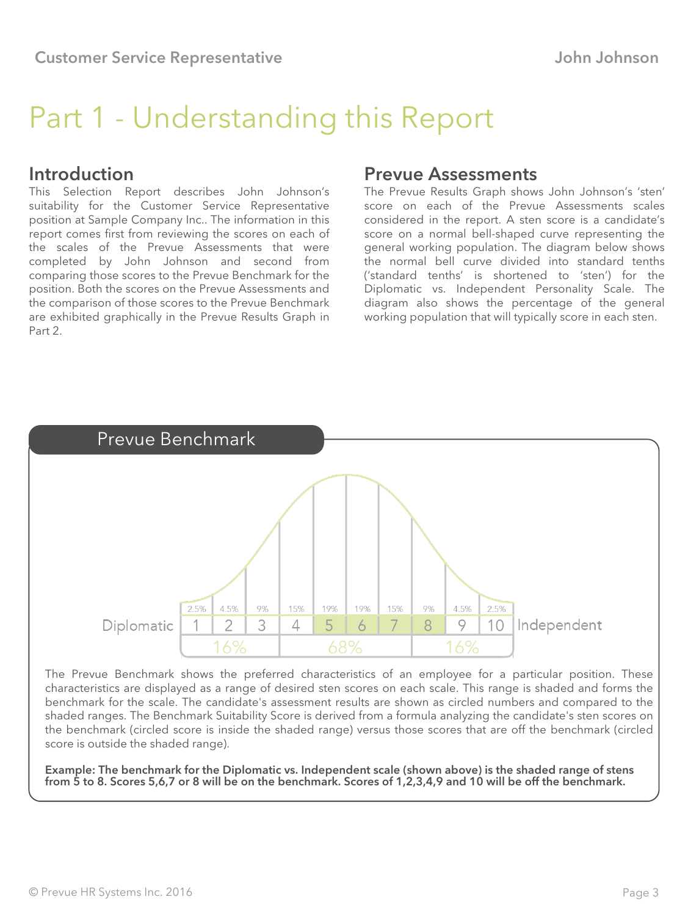# Part 1 - Understanding this Report

#### Introduction

This Selection Report describes John Johnson's suitability for the Customer Service Representative position at Sample Company Inc.. The information in this report comes first from reviewing the scores on each of the scales of the Prevue Assessments that were completed by John Johnson and second from comparing those scores to the Prevue Benchmark for the position. Both the scores on the Prevue Assessments and the comparison of those scores to the Prevue Benchmark are exhibited graphically in the Prevue Results Graph in Part 2.

#### Prevue Assessments

The Prevue Results Graph shows John Johnson's 'sten' score on each of the Prevue Assessments scales considered in the report. A sten score is a candidate's score on a normal bell-shaped curve representing the general working population. The diagram below shows the normal bell curve divided into standard tenths ('standard tenths' is shortened to 'sten') for the Diplomatic vs. Independent Personality Scale. The diagram also shows the percentage of the general working population that will typically score in each sten.



The Prevue Benchmark shows the preferred characteristics of an employee for a particular position. These characteristics are displayed as a range of desired sten scores on each scale. This range is shaded and forms the benchmark for the scale. The candidate's assessment results are shown as circled numbers and compared to the shaded ranges. The Benchmark Suitability Score is derived from a formula analyzing the candidate's sten scores on the benchmark (circled score is inside the shaded range) versus those scores that are off the benchmark (circled score is outside the shaded range).

Example: The benchmark for the Diplomatic vs. Independent scale (shown above) is the shaded range of stens from 5 to 8. Scores 5,6,7 or 8 will be on the benchmark. Scores of 1,2,3,4,9 and 10 will be off the benchmark.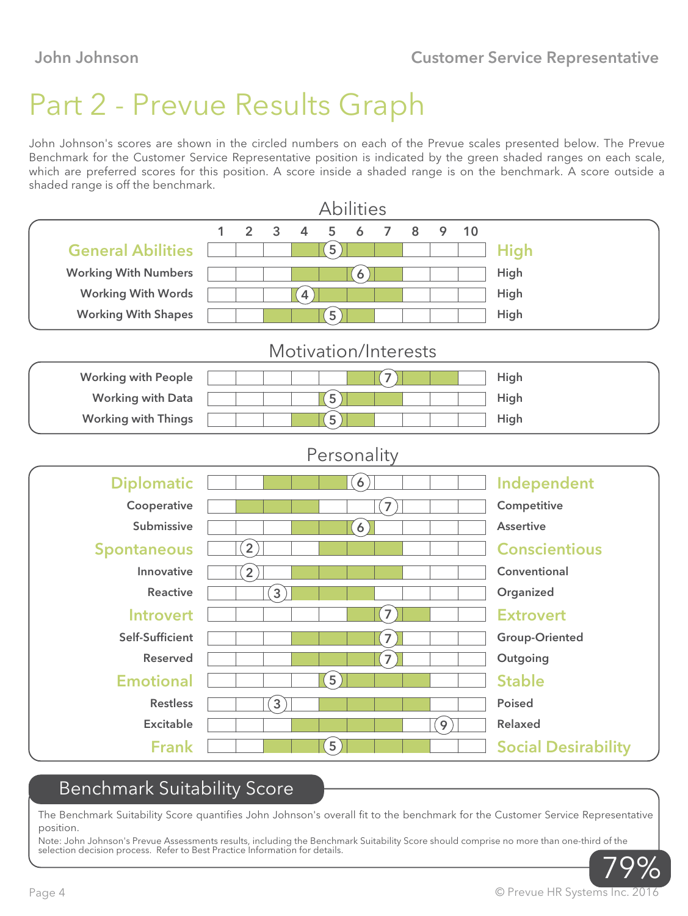# Part 2 - Prevue Results Graph

John Johnson's scores are shown in the circled numbers on each of the Prevue scales presented below. The Prevue Benchmark for the Customer Service Representative position is indicated by the green shaded ranges on each scale, which are preferred scores for this position. A score inside a shaded range is on the benchmark. A score outside a shaded range is off the benchmark.

|                             |              |                |                  |                | <b>Abilities</b>     |                   |                |   |     |    |                            |
|-----------------------------|--------------|----------------|------------------|----------------|----------------------|-------------------|----------------|---|-----|----|----------------------------|
|                             | $\mathbf{1}$ | $\overline{2}$ | 3                | $\overline{4}$ | 5                    | 6                 | $\overline{7}$ | 8 | 9   | 10 |                            |
| <b>General Abilities</b>    |              |                |                  |                | $\left[5\right]$     |                   |                |   |     |    | <b>High</b>                |
| <b>Working With Numbers</b> |              |                |                  |                |                      | $\left[6\right]$  |                |   |     |    | <b>High</b>                |
| <b>Working With Words</b>   |              |                |                  | $\overline{4}$ |                      |                   |                |   |     |    | High                       |
| <b>Working With Shapes</b>  |              |                |                  |                | $\left(5\right)$     |                   |                |   |     |    | High                       |
|                             |              |                |                  |                | Motivation/Interests |                   |                |   |     |    |                            |
| <b>Working with People</b>  |              |                |                  |                |                      |                   | $\boxed{7}$    |   |     |    | High                       |
| <b>Working with Data</b>    |              |                |                  |                | $\left(5\right)$     |                   |                |   |     |    | High                       |
| <b>Working with Things</b>  |              |                |                  |                | $\left[5\right]$     |                   |                |   |     |    | High                       |
|                             |              |                |                  |                | Personality          |                   |                |   |     |    |                            |
| <b>Diplomatic</b>           |              |                |                  |                |                      | $\left( 6\right)$ |                |   |     |    | Independent                |
| Cooperative                 |              |                |                  |                |                      |                   | $\mathbf{7}$   |   |     |    | Competitive                |
| Submissive                  |              |                |                  |                |                      | $\left[6\right]$  |                |   |     |    | <b>Assertive</b>           |
| <b>Spontaneous</b>          |              | $\overline{2}$ |                  |                |                      |                   |                |   |     |    | <b>Conscientious</b>       |
| Innovative                  |              | $\boxed{2}$    |                  |                |                      |                   |                |   |     |    | Conventional               |
| <b>Reactive</b>             |              |                | $\left[3\right]$ |                |                      |                   |                |   |     |    | Organized                  |
| <b>Introvert</b>            |              |                |                  |                |                      |                   | $\mathbf{7}$   |   |     |    | <b>Extrovert</b>           |
| Self-Sufficient             |              |                |                  |                |                      |                   | $\overline{7}$ |   |     |    | <b>Group-Oriented</b>      |
| <b>Reserved</b>             |              |                |                  |                |                      |                   | $\overline{7}$ |   |     |    | Outgoing                   |
| <b>Emotional</b>            |              |                |                  |                | $\overline{5}$       |                   |                |   |     |    | <b>Stable</b>              |
| <b>Restless</b>             |              |                | $\left[3\right]$ |                |                      |                   |                |   |     |    | <b>Poised</b>              |
| <b>Excitable</b>            |              |                |                  |                |                      |                   |                |   | ັ9ົ |    | <b>Relaxed</b>             |
| <b>Frank</b>                |              |                |                  |                | $\left[5\right]$     |                   |                |   |     |    | <b>Social Desirability</b> |

### Benchmark Suitability Score

The Benchmark Suitability Score quantifies John Johnson's overall fit to the benchmark for the Customer Service Representative position.

Note: John Johnson's Prevue Assessments results, including the Benchmark Suitability Score should comprise no more than one-third of the selection decision process. Refer to Best Practice Information for details.

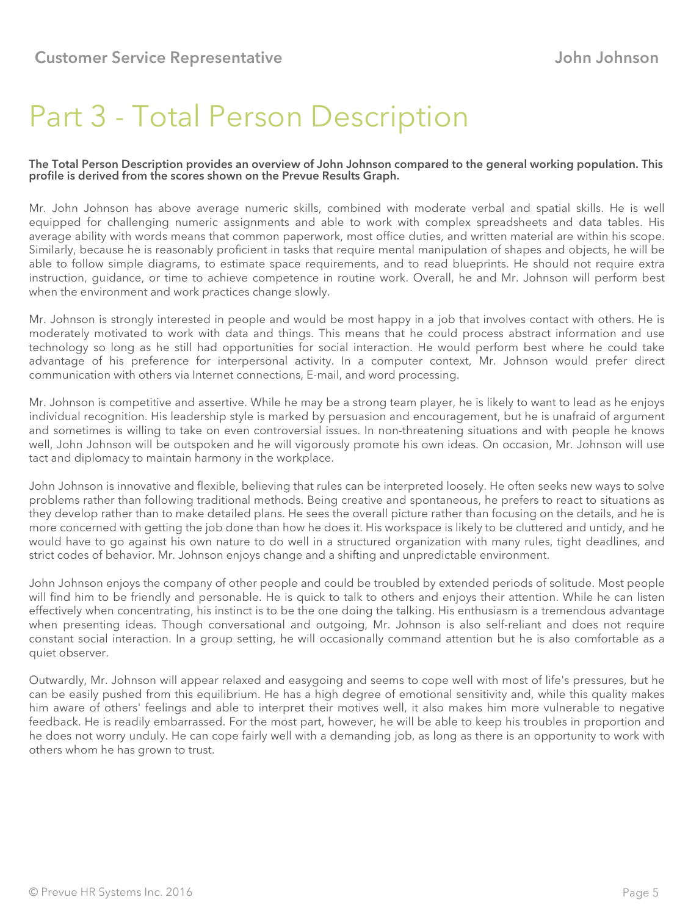## Part 3 - Total Person Description

#### The Total Person Description provides an overview of John Johnson compared to the general working population. This profile is derived from the scores shown on the Prevue Results Graph.

Mr. John Johnson has above average numeric skills, combined with moderate verbal and spatial skills. He is well equipped for challenging numeric assignments and able to work with complex spreadsheets and data tables. His average ability with words means that common paperwork, most office duties, and written material are within his scope. Similarly, because he is reasonably proficient in tasks that require mental manipulation of shapes and objects, he will be able to follow simple diagrams, to estimate space requirements, and to read blueprints. He should not require extra instruction, guidance, or time to achieve competence in routine work. Overall, he and Mr. Johnson will perform best when the environment and work practices change slowly.

Mr. Johnson is strongly interested in people and would be most happy in a job that involves contact with others. He is moderately motivated to work with data and things. This means that he could process abstract information and use technology so long as he still had opportunities for social interaction. He would perform best where he could take advantage of his preference for interpersonal activity. In a computer context, Mr. Johnson would prefer direct communication with others via Internet connections, E-mail, and word processing.

Mr. Johnson is competitive and assertive. While he may be a strong team player, he is likely to want to lead as he enjoys individual recognition. His leadership style is marked by persuasion and encouragement, but he is unafraid of argument and sometimes is willing to take on even controversial issues. In non-threatening situations and with people he knows well, John Johnson will be outspoken and he will vigorously promote his own ideas. On occasion, Mr. Johnson will use tact and diplomacy to maintain harmony in the workplace.

John Johnson is innovative and flexible, believing that rules can be interpreted loosely. He often seeks new ways to solve problems rather than following traditional methods. Being creative and spontaneous, he prefers to react to situations as they develop rather than to make detailed plans. He sees the overall picture rather than focusing on the details, and he is more concerned with getting the job done than how he does it. His workspace is likely to be cluttered and untidy, and he would have to go against his own nature to do well in a structured organization with many rules, tight deadlines, and strict codes of behavior. Mr. Johnson enjoys change and a shifting and unpredictable environment.

John Johnson enjoys the company of other people and could be troubled by extended periods of solitude. Most people will find him to be friendly and personable. He is quick to talk to others and enjoys their attention. While he can listen effectively when concentrating, his instinct is to be the one doing the talking. His enthusiasm is a tremendous advantage when presenting ideas. Though conversational and outgoing, Mr. Johnson is also self-reliant and does not require constant social interaction. In a group setting, he will occasionally command attention but he is also comfortable as a quiet observer.

Outwardly, Mr. Johnson will appear relaxed and easygoing and seems to cope well with most of life's pressures, but he can be easily pushed from this equilibrium. He has a high degree of emotional sensitivity and, while this quality makes him aware of others' feelings and able to interpret their motives well, it also makes him more vulnerable to negative feedback. He is readily embarrassed. For the most part, however, he will be able to keep his troubles in proportion and he does not worry unduly. He can cope fairly well with a demanding job, as long as there is an opportunity to work with others whom he has grown to trust.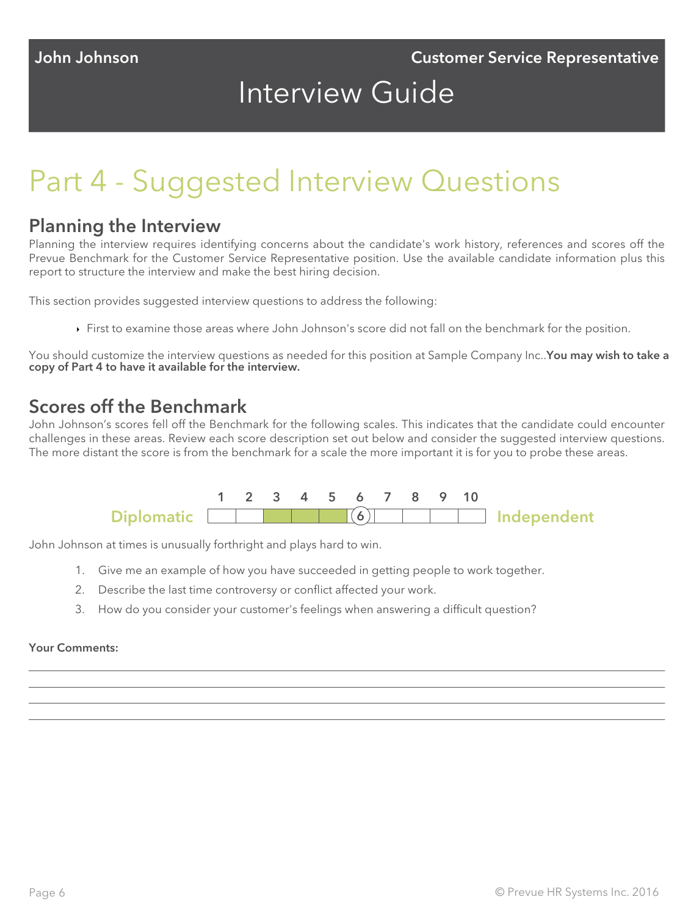## Interview Guide

## Part 4 - Suggested Interview Questions

#### Planning the Interview

Planning the interview requires identifying concerns about the candidate's work history, references and scores off the Prevue Benchmark for the Customer Service Representative position. Use the available candidate information plus this report to structure the interview and make the best hiring decision.

This section provides suggested interview questions to address the following:

First to examine those areas where John Johnson's score did not fall on the benchmark for the position.

You should customize the interview questions as needed for this position at Sample Company Inc..You may wish to take a copy of Part 4 to have it available for the interview.

## Scores off the Benchmark

John Johnson's scores fell off the Benchmark for the following scales. This indicates that the candidate could encounter challenges in these areas. Review each score description set out below and consider the suggested interview questions. The more distant the score is from the benchmark for a scale the more important it is for you to probe these areas.



John Johnson at times is unusually forthright and plays hard to win.

- 1. Give me an example of how you have succeeded in getting people to work together.
- 2. Describe the last time controversy or conflict affected your work.
- 3. How do you consider your customer's feelings when answering a difficult question?

#### Your Comments: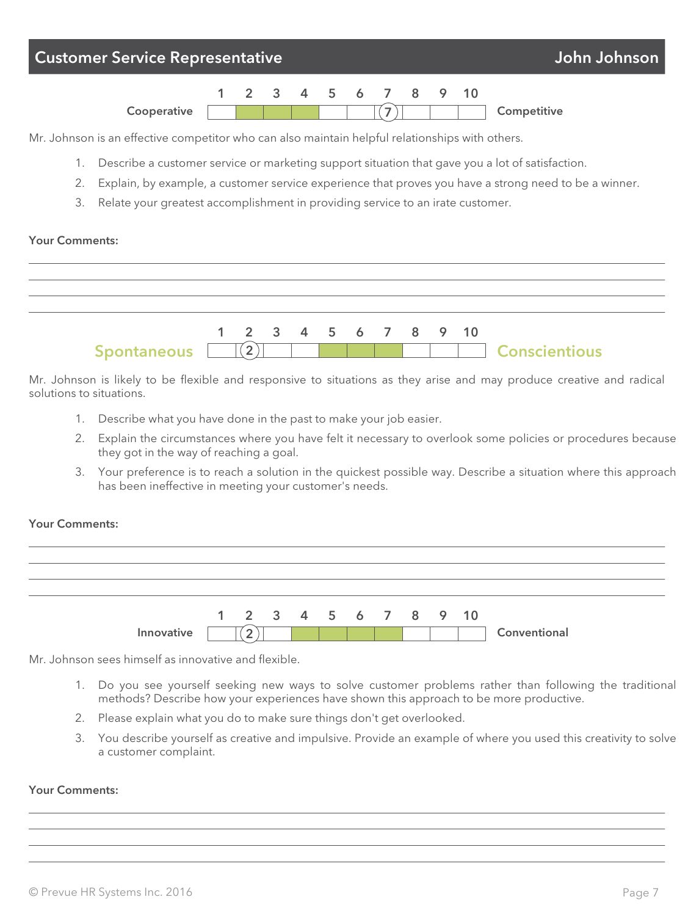

Mr. Johnson is an effective competitor who can also maintain helpful relationships with others.

- 1. Describe a customer service or marketing support situation that gave you a lot of satisfaction.
- 2. Explain, by example, a customer service experience that proves you have a strong need to be a winner.
- 3. Relate your greatest accomplishment in providing service to an irate customer.

#### Your Comments:



Mr. Johnson is likely to be flexible and responsive to situations as they arise and may produce creative and radical solutions to situations.

- 1. Describe what you have done in the past to make your job easier.
- 2. Explain the circumstances where you have felt it necessary to overlook some policies or procedures because they got in the way of reaching a goal.
- 3. Your preference is to reach a solution in the quickest possible way. Describe a situation where this approach has been ineffective in meeting your customer's needs.

#### Your Comments:



Mr. Johnson sees himself as innovative and flexible.

- 1. Do you see yourself seeking new ways to solve customer problems rather than following the traditional methods? Describe how your experiences have shown this approach to be more productive.
- 2. Please explain what you do to make sure things don't get overlooked.
- 3. You describe yourself as creative and impulsive. Provide an example of where you used this creativity to solve a customer complaint.

#### Your Comments: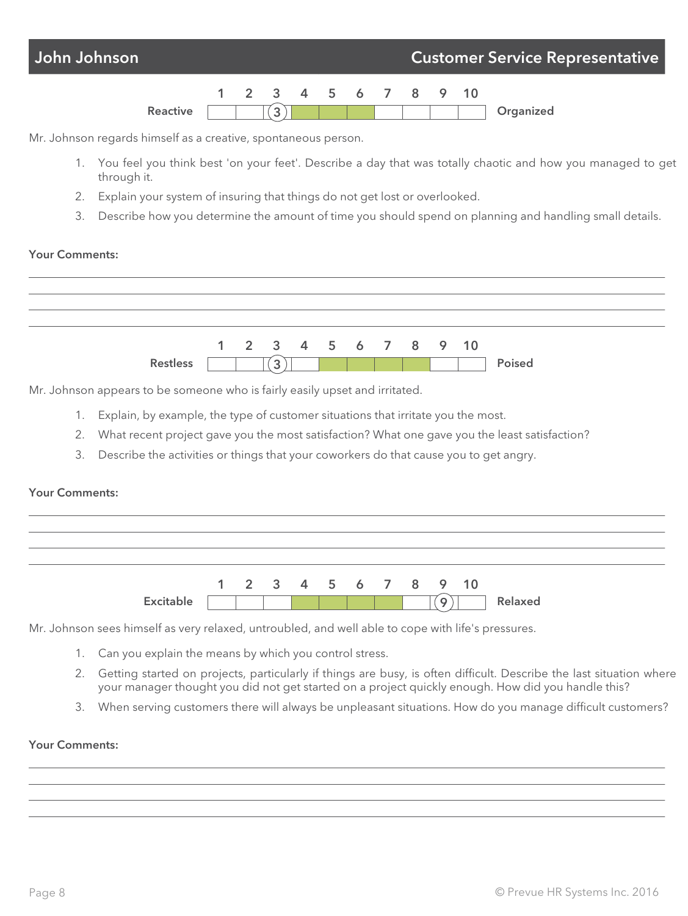

- 1. You feel you think best 'on your feet'. Describe a day that was totally chaotic and how you managed to get through it.
- 2. Explain your system of insuring that things do not get lost or overlooked.
- 3. Describe how you determine the amount of time you should spend on planning and handling small details.

#### Your Comments:

|                 |  | 1 2 3 4 5 6 7 8 9 10 |  |  |  |        |
|-----------------|--|----------------------|--|--|--|--------|
| <b>Restless</b> |  | $\sim$               |  |  |  | Poised |

Mr. Johnson appears to be someone who is fairly easily upset and irritated.

- 1. Explain, by example, the type of customer situations that irritate you the most.
- 2. What recent project gave you the most satisfaction? What one gave you the least satisfaction?
- 3. Describe the activities or things that your coworkers do that cause you to get angry.

#### Your Comments:



Mr. Johnson sees himself as very relaxed, untroubled, and well able to cope with life's pressures.

- 1. Can you explain the means by which you control stress.
- 2. Getting started on projects, particularly if things are busy, is often difficult. Describe the last situation where your manager thought you did not get started on a project quickly enough. How did you handle this?
- 3. When serving customers there will always be unpleasant situations. How do you manage difficult customers?

#### Your Comments: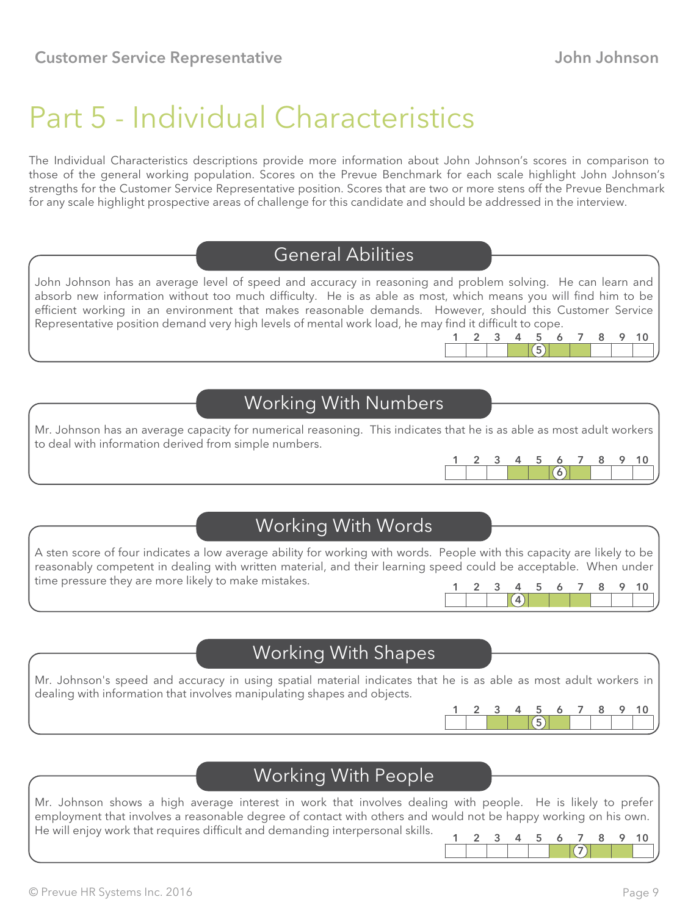## Part 5 - Individual Characteristics

The Individual Characteristics descriptions provide more information about John Johnson's scores in comparison to those of the general working population. Scores on the Prevue Benchmark for each scale highlight John Johnson's strengths for the Customer Service Representative position. Scores that are two or more stens off the Prevue Benchmark for any scale highlight prospective areas of challenge for this candidate and should be addressed in the interview.

## General Abilities

John Johnson has an average level of speed and accuracy in reasoning and problem solving. He can learn and absorb new information without too much difficulty. He is as able as most, which means you will find him to be efficient working in an environment that makes reasonable demands. However, should this Customer Service Representative position demand very high levels of mental work load, he may find it difficult to cope. 1 2 3 4 5 6 7 8 9 10

## Working With Numbers

Mr. Johnson has an average capacity for numerical reasoning. This indicates that he is as able as most adult workers to deal with information derived from simple numbers.



 $(4)$ 

5

## Working With Words

A sten score of four indicates a low average ability for working with words. People with this capacity are likely to be reasonably competent in dealing with written material, and their learning speed could be acceptable. When under time pressure they are more likely to make mistakes. 1 2 3 4 5 6 7 8 9 10

### Working With Shapes

Mr. Johnson's speed and accuracy in using spatial material indicates that he is as able as most adult workers in dealing with information that involves manipulating shapes and objects.



Mr. Johnson shows a high average interest in work that involves dealing with people. He is likely to prefer employment that involves a reasonable degree of contact with others and would not be happy working on his own. He will enjoy work that requires difficult and demanding interpersonal skills.



 $(5)$ 1 2 3 4 5 6 7 8 9 10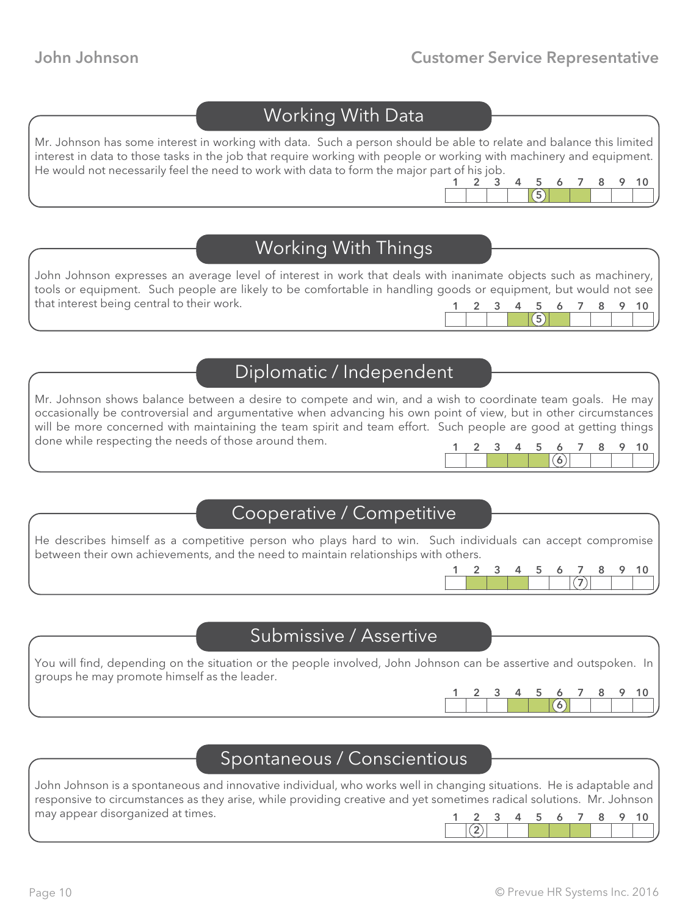5

## Working With Data

Mr. Johnson has some interest in working with data. Such a person should be able to relate and balance this limited interest in data to those tasks in the job that require working with people or working with machinery and equipment. He would not necessarily feel the need to work with data to form the major part of his job. 1 2 3 4 5 6 7 8 9 10

## Working With Things

| John Johnson expresses an average level of interest in work that deals with inanimate objects such as machinery, |  |  |  |  |                                                                                                                           |
|------------------------------------------------------------------------------------------------------------------|--|--|--|--|---------------------------------------------------------------------------------------------------------------------------|
| tools or equipment. Such people are likely to be comfortable in handling goods or equipment, but would not see   |  |  |  |  |                                                                                                                           |
| that interest being central to their work.                                                                       |  |  |  |  | 1 2 3 4 5 6 7 8 9 10                                                                                                      |
|                                                                                                                  |  |  |  |  | <b>Experience Service</b> Service Service Service Service Service Service Service Service Service Service Service Service |

## Diplomatic / Independent

Mr. Johnson shows balance between a desire to compete and win, and a wish to coordinate team goals. He may occasionally be controversial and argumentative when advancing his own point of view, but in other circumstances will be more concerned with maintaining the team spirit and team effort. Such people are good at getting things done while respecting the needs of those around them. 1 2 3 4 5 6 7 8 9 10

### Cooperative / Competitive

He describes himself as a competitive person who plays hard to win. Such individuals can accept compromise between their own achievements, and the need to maintain relationships with others.

### Submissive / Assertive

You will find, depending on the situation or the people involved, John Johnson can be assertive and outspoken. In groups he may promote himself as the leader.

2

1 2 3 4 5 6 7 8 9 10

 $(6)$ 

7

### Spontaneous / Conscientious

John Johnson is a spontaneous and innovative individual, who works well in changing situations. He is adaptable and responsive to circumstances as they arise, while providing creative and yet sometimes radical solutions. Mr. Johnson may appear disorganized at times. 1 2 3 4 5 6 7 8 9 10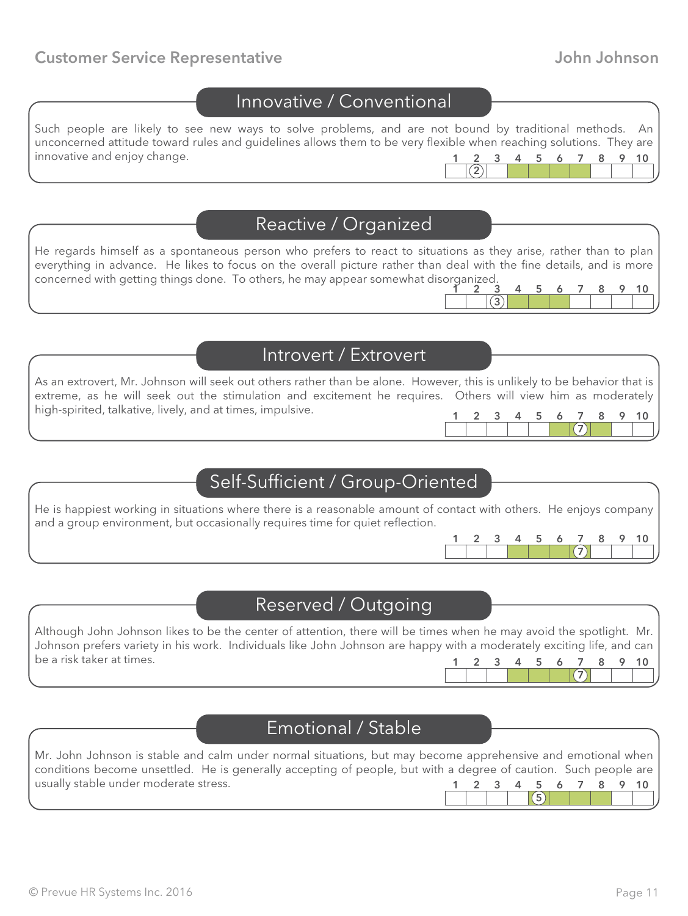#### **Customer Service Representative Customer Service Representative Accord Customer Service Representative Accord Customer Service Accord Service Accord Customer Service Accord Customer Service Accord Customer Service Accord**

#### Innovative / Conventional

Such people are likely to see new ways to solve problems, and are not bound by traditional methods. An unconcerned attitude toward rules and guidelines allows them to be very flexible when reaching solutions. They are innovative and enjoy change.  $(2)$ 3 4 5 6 7

#### Reactive / Organized

He regards himself as a spontaneous person who prefers to react to situations as they arise, rather than to plan everything in advance. He likes to focus on the overall picture rather than deal with the fine details, and is more concerned with getting things done. To others, he may appear somewhat disorganized.  $\overline{3}$ 1 2 3 4 5 6 7 8 9 10

## Introvert / Extrovert

As an extrovert, Mr. Johnson will seek out others rather than be alone. However, this is unlikely to be behavior that is extreme, as he will seek out the stimulation and excitement he requires. Others will view him as moderately high-spirited, talkative, lively, and at times, impulsive. 1 2 3 4 5 6 7 8 9 10

## Self-Sufficient / Group-Oriented

He is happiest working in situations where there is a reasonable amount of contact with others. He enjoys company and a group environment, but occasionally requires time for quiet reflection.



 $(7)$ 

 $(7)$ 

## Reserved / Outgoing

Although John Johnson likes to be the center of attention, there will be times when he may avoid the spotlight. Mr. Johnson prefers variety in his work. Individuals like John Johnson are happy with a moderately exciting life, and can be a risk taker at times. 1 2 3 4 5 6 7 8 9 10

## Emotional / Stable

| Mr. John Johnson is stable and calm under normal situations, but may become apprehensive and emotional when     |  |  |  |  |                      |
|-----------------------------------------------------------------------------------------------------------------|--|--|--|--|----------------------|
| conditions become unsettled. He is generally accepting of people, but with a degree of caution. Such people are |  |  |  |  |                      |
| usually stable under moderate stress.                                                                           |  |  |  |  | 1 2 3 4 5 6 7 8 9 10 |
|                                                                                                                 |  |  |  |  |                      |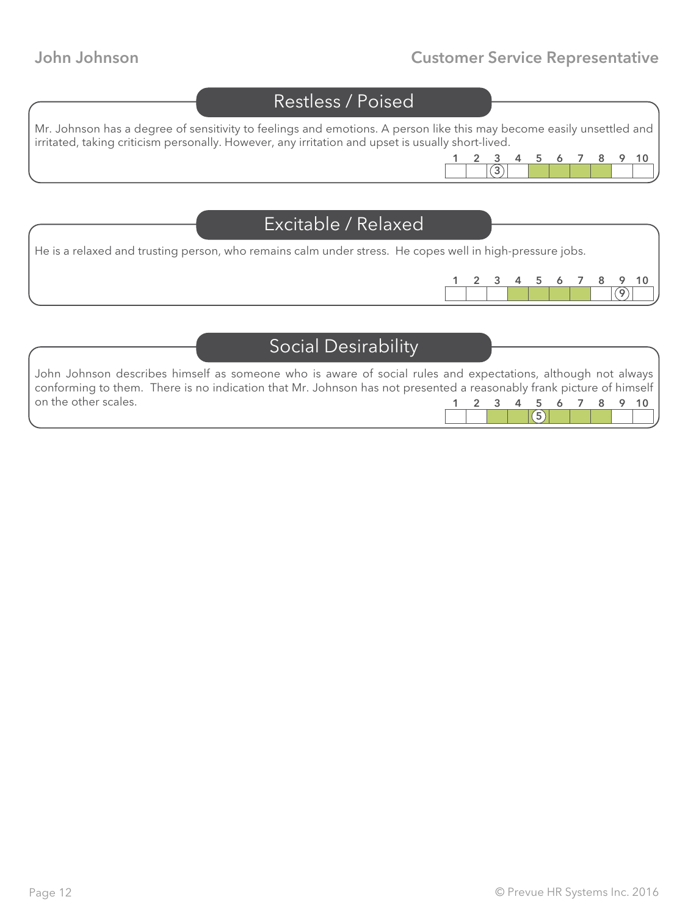## John Johnson Customer Service Representative

|                                                                                                          | <b>Restless / Poised</b>   |                                                                                                                      |
|----------------------------------------------------------------------------------------------------------|----------------------------|----------------------------------------------------------------------------------------------------------------------|
| irritated, taking criticism personally. However, any irritation and upset is usually short-lived.        |                            | Mr. Johnson has a degree of sensitivity to feelings and emotions. A person like this may become easily unsettled and |
|                                                                                                          |                            | 10<br>5<br>Ô                                                                                                         |
|                                                                                                          |                            |                                                                                                                      |
|                                                                                                          | Excitable / Relaxed        |                                                                                                                      |
| He is a relaxed and trusting person, who remains calm under stress. He copes well in high-pressure jobs. |                            |                                                                                                                      |
|                                                                                                          |                            | 5<br>10<br>6                                                                                                         |
|                                                                                                          |                            |                                                                                                                      |
|                                                                                                          | <b>Social Desirability</b> |                                                                                                                      |

| John Johnson describes himself as someone who is aware of social rules and expectations, although not always        |  |  |  |  |                                                   |
|---------------------------------------------------------------------------------------------------------------------|--|--|--|--|---------------------------------------------------|
| conforming to them. There is no indication that Mr. Johnson has not presented a reasonably frank picture of himself |  |  |  |  |                                                   |
| on the other scales.                                                                                                |  |  |  |  | 1 2 3 4 5 6 7 8 9 10                              |
|                                                                                                                     |  |  |  |  | <b>Experience Service Service Service Service</b> |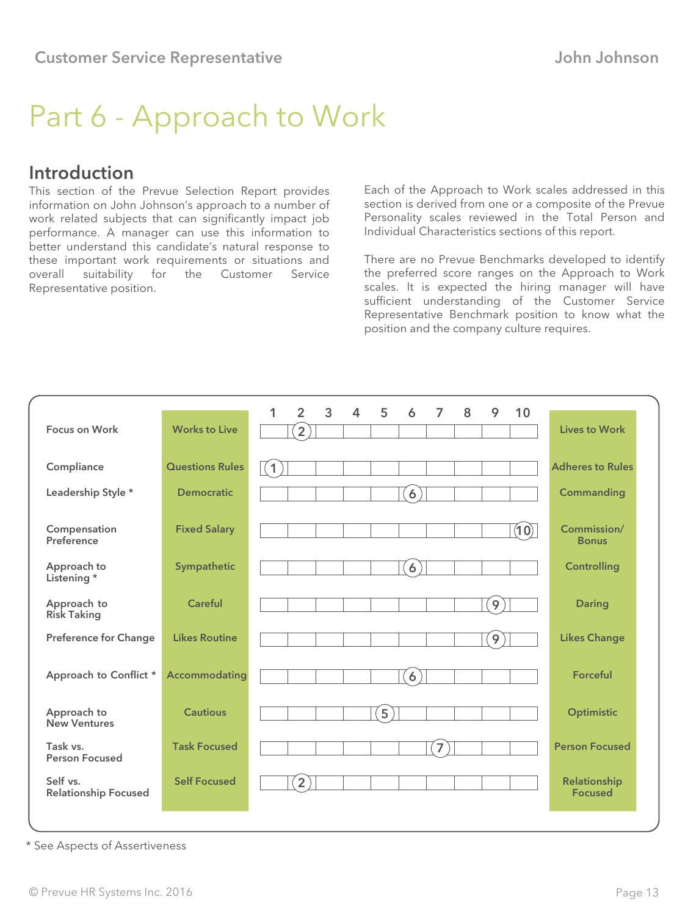# Part 6 - Approach to Work

### Introduction

This section of the Prevue Selection Report provides information on John Johnson's approach to a number of work related subjects that can significantly impact job performance. A manager can use this information to better understand this candidate's natural response to these important work requirements or situations and<br>overall suitability for the Customer Service overall suitability for the Customer Service Representative position.

Each of the Approach to Work scales addressed in this section is derived from one or a composite of the Prevue Personality scales reviewed in the Total Person and Individual Characteristics sections of this report.

There are no Prevue Benchmarks developed to identify the preferred score ranges on the Approach to Work scales. It is expected the hiring manager will have sufficient understanding of the Customer Service Representative Benchmark position to know what the position and the company culture requires.

| <b>Focus on Work</b>                    | <b>Works to Live</b>   | $\overline{2}$<br>3<br>5<br>10<br>1<br>$\overline{4}$<br>7<br>8<br>9<br>6<br>$\overline{2}$ | <b>Lives to Work</b>           |
|-----------------------------------------|------------------------|---------------------------------------------------------------------------------------------|--------------------------------|
|                                         |                        |                                                                                             |                                |
| Compliance                              | <b>Questions Rules</b> | (1)                                                                                         | <b>Adheres to Rules</b>        |
| Leadership Style *                      | <b>Democratic</b>      | 6                                                                                           | Commanding                     |
| Compensation<br>Preference              | <b>Fixed Salary</b>    | (10)                                                                                        | Commission/<br><b>Bonus</b>    |
| Approach to<br>Listening*               | Sympathetic            | $\overline{6}$                                                                              | <b>Controlling</b>             |
| Approach to<br><b>Risk Taking</b>       | Careful                | 9                                                                                           | <b>Daring</b>                  |
| <b>Preference for Change</b>            | <b>Likes Routine</b>   | $\overline{9}$                                                                              | <b>Likes Change</b>            |
| Approach to Conflict *                  | <b>Accommodating</b>   | $\overline{6}$                                                                              | Forceful                       |
| Approach to<br><b>New Ventures</b>      | <b>Cautious</b>        | 5                                                                                           | Optimistic                     |
| Task vs.<br><b>Person Focused</b>       | <b>Task Focused</b>    | 7                                                                                           | <b>Person Focused</b>          |
| Self vs.<br><b>Relationship Focused</b> | <b>Self Focused</b>    | $\overline{2}$                                                                              | Relationship<br><b>Focused</b> |

\* See Aspects of Assertiveness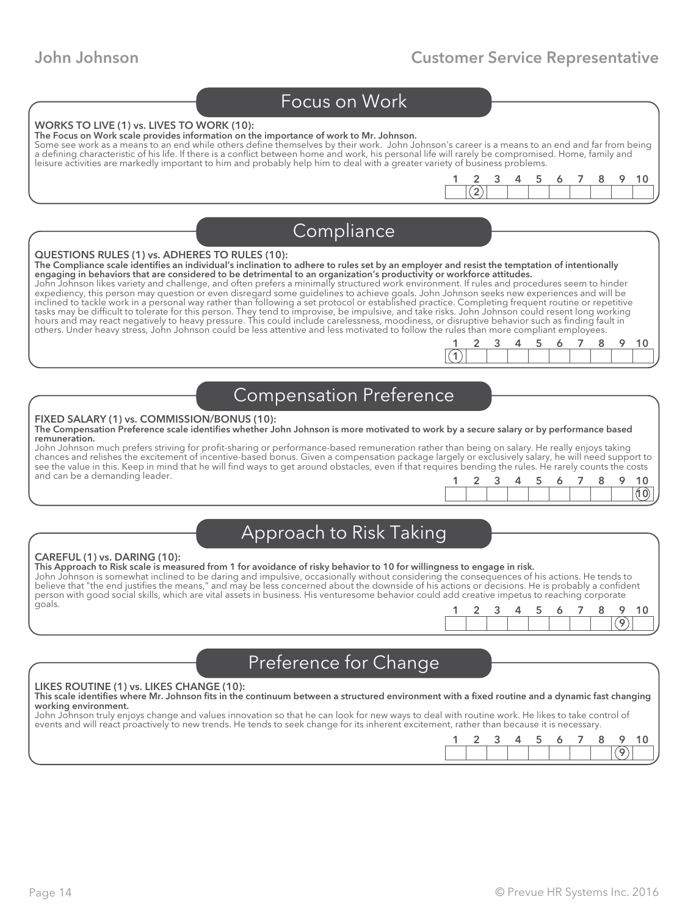1 2 3 4 5 6 7 8 9 10

 $\left( 2\right)$ 

 $(1)$ 

#### Focus on Work

#### WORKS TO LIVE (1) vs. LIVES TO WORK (10):

The Focus on Work scale provides information on the importance of work to Mr. Johnson.

Some see work as a means to an end while others define themselves by their work. John Johnson's career is a means to an end and far from being a defining characteristic of his life. If there is a conflict between home and work, his personal life will rarely be compromised. Home, family and leisure activities are markedly important to him and probably help him to deal with a greater variety of business problems.

| Compliance |  |
|------------|--|
|            |  |

#### QUESTIONS RULES (1) vs. ADHERES TO RULES (10):

The Compliance scale identifies an individual's inclination to adhere to rules set by an employer and resist the temptation of intentionally engaging in behaviors that are considered to be detrimental to an organization's productivity or workforce attitudes.

John Johnson likes variety and challenge, and often prefers a minimally structured work environment. If rules and procedures seem to hinder expediency, this person may question or even disregard some guidelines to achieve goals. John Johnson seeks new experiences and will be inclined to tackle work in a personal way rather than following a set protocol or established practice. Completing frequent routine or repetitive tasks may be difficult to tolerate for this person. They tend to improvise, be impulsive, and take risks. John Johnson could resent long working hours and may react negatively to heavy pressure. This could include carelessness, moodiness, or disruptive behavior such as finding fault in others. Under heavy stress, John Johnson could be less attentive and less motivated to follow the rules than more compliant employees.

#### Compensation Preference

#### FIXED SALARY (1) vs. COMMISSION/BONUS (10):

#### The Compensation Preference scale identifies whether John Johnson is more motivated to work by a secure salary or by performance based remuneration.

John Johnson much prefers striving for profit-sharing or performance-based remuneration rather than being on salary. He really enjoys taking chances and relishes the excitement of incentive-based bonus. Given a compensation package largely or exclusively salary, he will need support to see the value in this. Keep in mind that he will find ways to get around obstacles, even if that requires bending the rules. He rarely counts the costs and can be a demanding leader.

1 2 3 4 5 6 7 8 9 10

## Approach to Risk Taking

#### CAREFUL (1) vs. DARING (10):

This Approach to Risk scale is measured from 1 for avoidance of risky behavior to 10 for willingness to engage in risk. John Johnson is somewhat inclined to be daring and impulsive, occasionally without considering the consequences of his actions. He tends to believe that "the end justifies the means," and may be less concerned about the downside of his actions or decisions. He is probably a confident person with good social skills, which are vital assets in business. His venturesome behavior could add creative impetus to reaching corporate goals.

| $\sim$ | - 2 | $-5$ | 678 | 9 10 |  |
|--------|-----|------|-----|------|--|
|        |     |      |     |      |  |

## Preference for Change

#### LIKES ROUTINE (1) vs. LIKES CHANGE (10):

#### This scale identifies where Mr. Johnson fits in the continuum between a structured environment with a fixed routine and a dynamic fast changing working environment.

John Johnson truly enjoys change and values innovation so that he can look for new ways to deal with routine work. He likes to take control of events and will react proactively to new trends. He tends to seek change for its inherent excitement, rather than because it is necessary.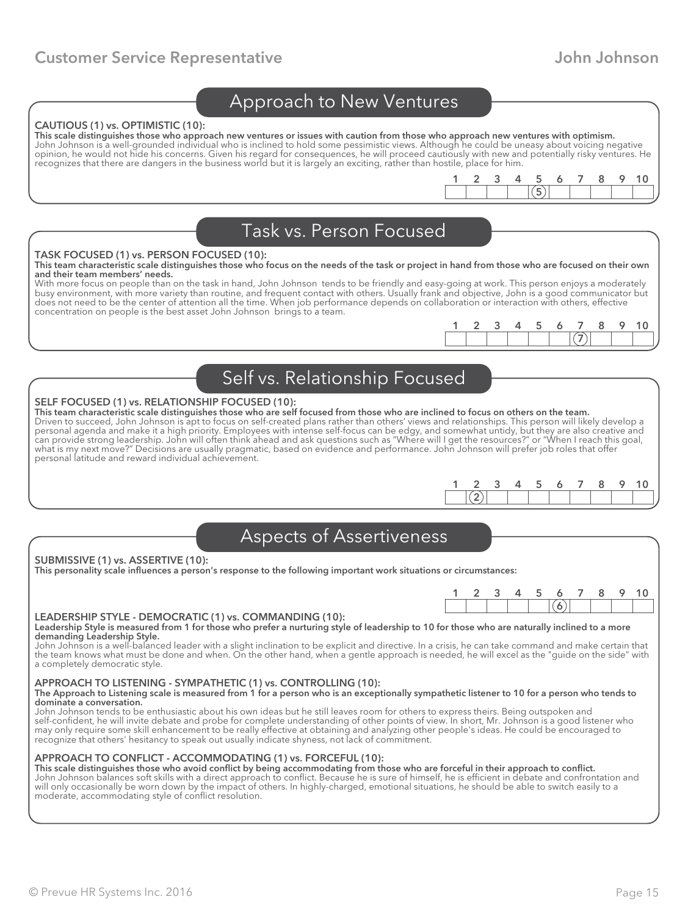#### Approach to New Ventures

#### CAUTIOUS (1) vs. OPTIMISTIC (10):

This scale distinguishes those who approach new ventures or issues with caution from those who approach new ventures with optimism. John Johnson is a well-grounded individual who is inclined to hold some pessimistic views. Although he could be uneasy about voicing negative opinion, he would not hide his concerns. Given his regard for consequences, he will proceed cautiously with new and potentially risky ventures. He recognizes that there are dangers in the business world but it is largely an exciting, rather than hostile, place for him.

|  | Task vs. Person Focused |  |
|--|-------------------------|--|

#### TASK FOCUSED (1) vs. PERSON FOCUSED (10):

This team characteristic scale distinguishes those who focus on the needs of the task or project in hand from those who are focused on their own and their team members' needs.

With more focus on people than on the task in hand, John Johnson tends to be friendly and easy-going at work. This person enjoys a moderately busy environment, with more variety than routine, and frequent contact with others. Usually frank and objective, John is a good communicator but does not need to be the center of attention all the time. When job performance depends on collaboration or interaction with others, effective concentration on people is the best asset John Johnson brings to a team.

| $\rightarrow$ | - 3 |  | 7 <sup>2</sup> |  |  |
|---------------|-----|--|----------------|--|--|
|               |     |  |                |  |  |

 $\overline{\mathsf{S}}$ 1 2 3 4 5 6 7 8 9 10

## Self vs. Relationship Focused

#### SELF FOCUSED (1) vs. RELATIONSHIP FOCUSED (10):

This team characteristic scale distinguishes those who are self focused from those who are inclined to focus on others on the team. Driven to succeed, John Johnson is apt to focus on self-created plans rather than others' views and relationships. This person will likely develop a personal agenda and make it a high priority. Employees with intense self-focus can be edgy, and somewhat untidy, but they are also creative and can provide strong leadership. John will often think ahead and ask questions such as "Where will I get the resources?" or "When I reach this goal, what is my next move?" Decisions are usually pragmatic, based on evidence and performance. John Johnson will prefer job roles that offer personal latitude and reward individual achievement.

6 1 2 3 4 5 6 7 8 9 10

## Aspects of Assertiveness

#### SUBMISSIVE (1) vs. ASSERTIVE (10):

This personality scale influences a person's response to the following important work situations or circumstances:

#### LEADERSHIP STYLE - DEMOCRATIC (1) vs. COMMANDING (10):

Leadership Style is measured from 1 for those who prefer a nurturing style of leadership to 10 for those who are naturally inclined to a more demanding Leadership Style.

John Johnson is a well-balanced leader with a slight inclination to be explicit and directive. In a crisis, he can take command and make certain that the team knows what must be done and when. On the other hand, when a gentle approach is needed, he will excel as the "guide on the side" with a completely democratic style.

#### APPROACH TO LISTENING - SYMPATHETIC (1) vs. CONTROLLING (10):

The Approach to Listening scale is measured from 1 for a person who is an exceptionally sympathetic listener to 10 for a person who tends to dominate a conversation.

John Johnson tends to be enthusiastic about his own ideas but he still leaves room for others to express theirs. Being outspoken and self-confident, he will invite debate and probe for complete understanding of other points of view. In short, Mr. Johnson is a good listener who may only require some skill enhancement to be really effective at obtaining and analyzing other people's ideas. He could be encouraged to recognize that others' hesitancy to speak out usually indicate shyness, not lack of commitment.

APPROACH TO CONFLICT - ACCOMMODATING (1) vs. FORCEFUL (10): This scale distinguishes those who avoid conflict by being accommodating from those who are forceful in their approach to conflict. John Johnson balances soft skills with a direct approach to conflict. Because he is sure of himself, he is efficient in debate and confrontation and will only occasionally be worn down by the impact of others. In highly-charged, emotional situations, he should be able to switch easily to a moderate, accommodating style of conflict resolution.